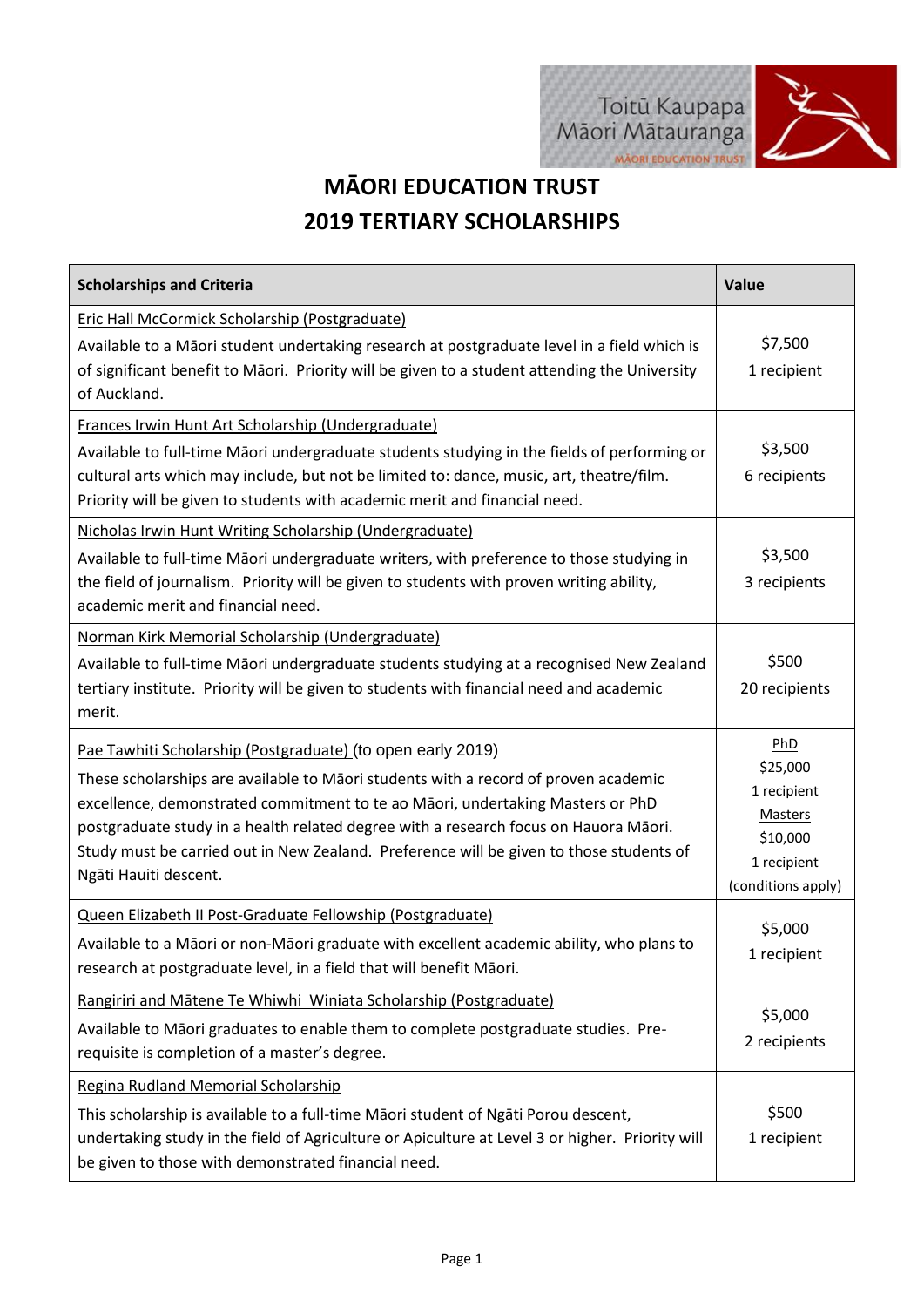

## **MĀORI EDUCATION TRUST 2019 TERTIARY SCHOLARSHIPS**

| <b>Scholarships and Criteria</b>                                                                                                                                                                                                                                                                                                                                                                                                                 | <b>Value</b>                                                                                      |
|--------------------------------------------------------------------------------------------------------------------------------------------------------------------------------------------------------------------------------------------------------------------------------------------------------------------------------------------------------------------------------------------------------------------------------------------------|---------------------------------------------------------------------------------------------------|
| Eric Hall McCormick Scholarship (Postgraduate)<br>Available to a Māori student undertaking research at postgraduate level in a field which is<br>of significant benefit to Māori. Priority will be given to a student attending the University<br>of Auckland.                                                                                                                                                                                   | \$7,500<br>1 recipient                                                                            |
| Frances Irwin Hunt Art Scholarship (Undergraduate)<br>Available to full-time Māori undergraduate students studying in the fields of performing or<br>cultural arts which may include, but not be limited to: dance, music, art, theatre/film.<br>Priority will be given to students with academic merit and financial need.<br>Nicholas Irwin Hunt Writing Scholarship (Undergraduate)                                                           | \$3,500<br>6 recipients                                                                           |
| Available to full-time Māori undergraduate writers, with preference to those studying in<br>the field of journalism. Priority will be given to students with proven writing ability,<br>academic merit and financial need.                                                                                                                                                                                                                       | \$3,500<br>3 recipients                                                                           |
| Norman Kirk Memorial Scholarship (Undergraduate)<br>Available to full-time Māori undergraduate students studying at a recognised New Zealand<br>tertiary institute. Priority will be given to students with financial need and academic<br>merit.                                                                                                                                                                                                | \$500<br>20 recipients                                                                            |
| Pae Tawhiti Scholarship (Postgraduate) (to open early 2019)<br>These scholarships are available to Māori students with a record of proven academic<br>excellence, demonstrated commitment to te ao Māori, undertaking Masters or PhD<br>postgraduate study in a health related degree with a research focus on Hauora Māori.<br>Study must be carried out in New Zealand. Preference will be given to those students of<br>Ngāti Hauiti descent. | PhD<br>\$25,000<br>1 recipient<br><b>Masters</b><br>\$10,000<br>1 recipient<br>(conditions apply) |
| Queen Elizabeth II Post-Graduate Fellowship (Postgraduate)<br>Available to a Māori or non-Māori graduate with excellent academic ability, who plans to<br>research at postgraduate level, in a field that will benefit Māori.                                                                                                                                                                                                                    | \$5,000<br>1 recipient                                                                            |
| Rangiriri and Mātene Te Whiwhi Winiata Scholarship (Postgraduate)<br>Available to Māori graduates to enable them to complete postgraduate studies. Pre-<br>requisite is completion of a master's degree.                                                                                                                                                                                                                                         | \$5,000<br>2 recipients                                                                           |
| Regina Rudland Memorial Scholarship<br>This scholarship is available to a full-time Māori student of Ngāti Porou descent,<br>undertaking study in the field of Agriculture or Apiculture at Level 3 or higher. Priority will<br>be given to those with demonstrated financial need.                                                                                                                                                              | \$500<br>1 recipient                                                                              |